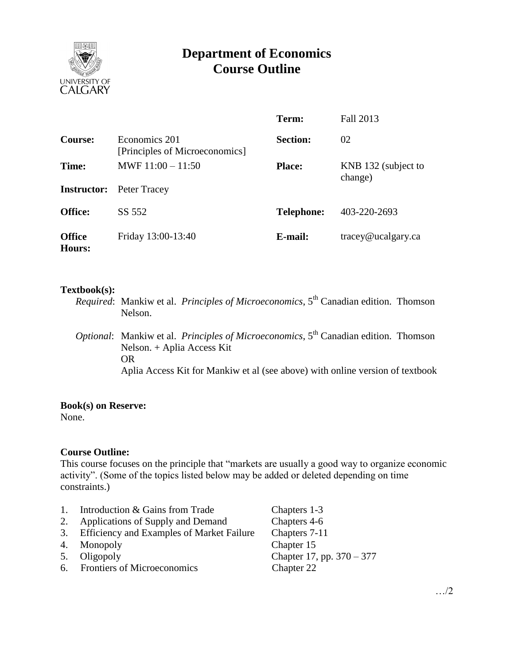

# **Department of Economics Course Outline**

|                         |                                                 | Term:             | Fall 2013                     |
|-------------------------|-------------------------------------------------|-------------------|-------------------------------|
| Course:                 | Economics 201<br>[Principles of Microeconomics] | <b>Section:</b>   | 02                            |
| Time:                   | MWF $11:00 - 11:50$                             | <b>Place:</b>     | KNB 132 (subject to           |
| <b>Instructor:</b>      | Peter Tracey                                    |                   | change)                       |
| <b>Office:</b>          | SS 552                                          | <b>Telephone:</b> | 403-220-2693                  |
| <b>Office</b><br>Hours: | Friday 13:00-13:40                              | E-mail:           | $trace\$ <i>e</i> ucalgary.ca |

#### **Textbook(s):**

- *Required*: Mankiw et al. *Principles of Microeconomics*, 5<sup>th</sup> Canadian edition. Thomson Nelson.
- *Optional:* Mankiw et al. *Principles of Microeconomics*, 5<sup>th</sup> Canadian edition. Thomson Nelson. + Aplia Access Kit OR Aplia Access Kit for Mankiw et al (see above) with online version of textbook

#### **Book(s) on Reserve:**

None.

#### **Course Outline:**

This course focuses on the principle that "markets are usually a good way to organize economic activity". (Some of the topics listed below may be added or deleted depending on time constraints.)

- 1. Introduction & Gains from Trade Chapters 1-3 2. Applications of Supply and Demand Chapters 4-6 3. Efficiency and Examples of Market Failure Chapters 7-11 4. Monopoly Chapter 15
- 
- 6. Frontiers of Microeconomics Chapter 22

5. Oligopoly Chapter 17, pp. 370 – 377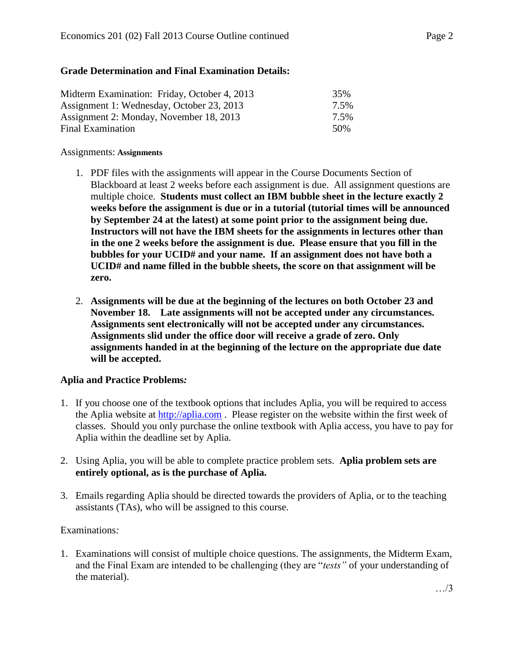## **Grade Determination and Final Examination Details:**

| Midterm Examination: Friday, October 4, 2013 | 35%  |
|----------------------------------------------|------|
| Assignment 1: Wednesday, October 23, 2013    | 7.5% |
| Assignment 2: Monday, November 18, 2013      | 7.5% |
| Final Examination                            | 50%  |

#### Assignments: **Assignments**

- 1. PDF files with the assignments will appear in the Course Documents Section of Blackboard at least 2 weeks before each assignment is due. All assignment questions are multiple choice. **Students must collect an IBM bubble sheet in the lecture exactly 2 weeks before the assignment is due or in a tutorial (tutorial times will be announced by September 24 at the latest) at some point prior to the assignment being due. Instructors will not have the IBM sheets for the assignments in lectures other than in the one 2 weeks before the assignment is due. Please ensure that you fill in the bubbles for your UCID# and your name. If an assignment does not have both a UCID# and name filled in the bubble sheets, the score on that assignment will be zero.**
- 2. **Assignments will be due at the beginning of the lectures on both October 23 and November 18. Late assignments will not be accepted under any circumstances. Assignments sent electronically will not be accepted under any circumstances. Assignments slid under the office door will receive a grade of zero. Only assignments handed in at the beginning of the lecture on the appropriate due date will be accepted.**

## **Aplia and Practice Problems***:*

- 1. If you choose one of the textbook options that includes Aplia, you will be required to access the Aplia website at [http://aplia.com](http://aplia.com/) . Please register on the website within the first week of classes. Should you only purchase the online textbook with Aplia access, you have to pay for Aplia within the deadline set by Aplia.
- 2. Using Aplia, you will be able to complete practice problem sets. **Aplia problem sets are entirely optional, as is the purchase of Aplia.**
- 3. Emails regarding Aplia should be directed towards the providers of Aplia, or to the teaching assistants (TAs), who will be assigned to this course.

## Examinations*:*

1. Examinations will consist of multiple choice questions. The assignments, the Midterm Exam, and the Final Exam are intended to be challenging (they are "*tests"* of your understanding of the material).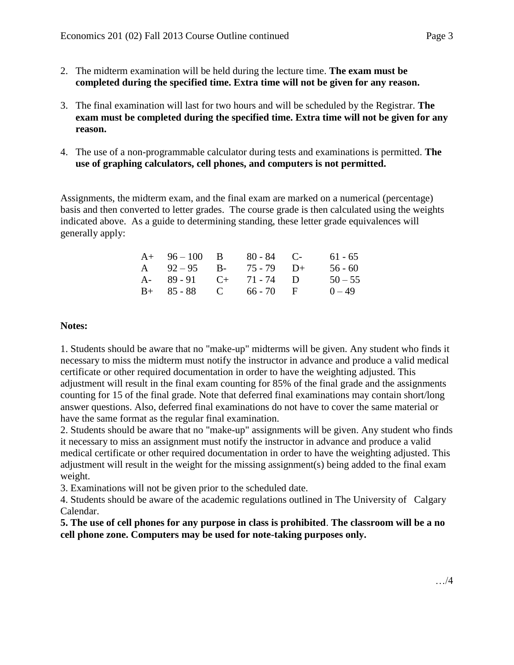- 2. The midterm examination will be held during the lecture time. **The exam must be completed during the specified time. Extra time will not be given for any reason.**
- 3. The final examination will last for two hours and will be scheduled by the Registrar. **The exam must be completed during the specified time. Extra time will not be given for any reason.**
- 4. The use of a non-programmable calculator during tests and examinations is permitted. **The use of graphing calculators, cell phones, and computers is not permitted.**

Assignments, the midterm exam, and the final exam are marked on a numerical (percentage) basis and then converted to letter grades. The course grade is then calculated using the weights indicated above. As a guide to determining standing, these letter grade equivalences will generally apply:

| $A+ 96-100$ B         | $80 - 84$ C- | $61 - 65$ |
|-----------------------|--------------|-----------|
| A $92-95$ B-          | $75 - 79$ D+ | $56 - 60$ |
| A- $89-91$ C+ 71-74 D |              | $50 - 55$ |
| $B+ 85-88$ C 66-70 F  |              | $0 - 49$  |

#### **Notes:**

1. Students should be aware that no "make-up" midterms will be given. Any student who finds it necessary to miss the midterm must notify the instructor in advance and produce a valid medical certificate or other required documentation in order to have the weighting adjusted. This adjustment will result in the final exam counting for 85% of the final grade and the assignments counting for 15 of the final grade. Note that deferred final examinations may contain short/long answer questions. Also, deferred final examinations do not have to cover the same material or have the same format as the regular final examination.

2. Students should be aware that no "make-up" assignments will be given. Any student who finds it necessary to miss an assignment must notify the instructor in advance and produce a valid medical certificate or other required documentation in order to have the weighting adjusted. This adjustment will result in the weight for the missing assignment(s) being added to the final exam weight.

3. Examinations will not be given prior to the scheduled date.

4. Students should be aware of the academic regulations outlined in The University of Calgary Calendar.

**5. The use of cell phones for any purpose in class is prohibited**. **The classroom will be a no cell phone zone. Computers may be used for note-taking purposes only.**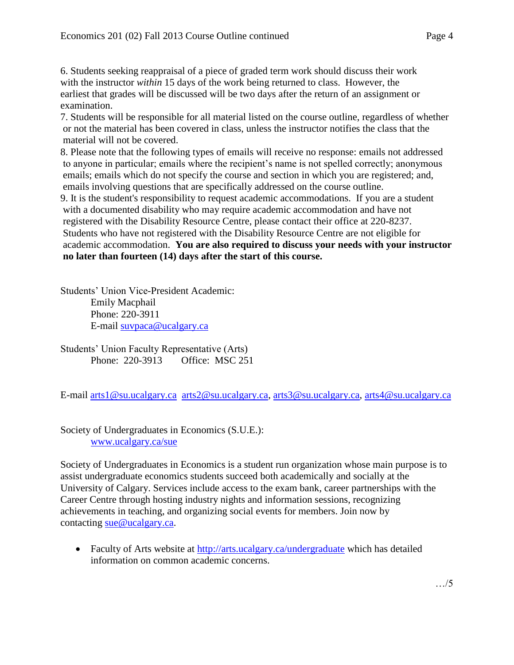6. Students seeking reappraisal of a piece of graded term work should discuss their work

with the instructor *within* 15 days of the work being returned to class. However, the earliest that grades will be discussed will be two days after the return of an assignment or examination.

7. Students will be responsible for all material listed on the course outline, regardless of whether or not the material has been covered in class, unless the instructor notifies the class that the material will not be covered.

8. Please note that the following types of emails will receive no response: emails not addressed to anyone in particular; emails where the recipient's name is not spelled correctly; anonymous emails; emails which do not specify the course and section in which you are registered; and, emails involving questions that are specifically addressed on the course outline.

9. It is the student's responsibility to request academic accommodations. If you are a student with a documented disability who may require academic accommodation and have not registered with the Disability Resource Centre, please contact their office at 220-8237. Students who have not registered with the Disability Resource Centre are not eligible for academic accommodation. **You are also required to discuss your needs with your instructor no later than fourteen (14) days after the start of this course.**

Students' Union Vice-President Academic: Emily Macphail Phone: 220-3911 E-mail [suvpaca@ucalgary.ca](mailto:subpaca@ucalgary.ca)

Students' Union Faculty Representative (Arts) Phone: 220-3913 Office: MSC 251

E-mail [arts1@su.ucalgary.ca](mailto:arts1@su.ucalgary.ca) [arts2@su.ucalgary.ca,](mailto:arts2@su.ucalgary.ca) [arts3@su.ucalgary.ca,](mailto:arts3@su.ucalgary.ca) [arts4@su.ucalgary.ca](mailto:arts4@su.ucalgary.ca)

Society of Undergraduates in Economics (S.U.E.): [www.ucalgary.ca/sue](http://www.fp.ucalgary.ca/econ)

Society of Undergraduates in Economics is a student run organization whose main purpose is to assist undergraduate economics students succeed both academically and socially at the University of Calgary. Services include access to the exam bank, career partnerships with the Career Centre through hosting industry nights and information sessions, recognizing achievements in teaching, and organizing social events for members. Join now by contacting [sue@ucalgary.ca.](mailto:sue@ucalgary.ca)

• Faculty of Arts website at<http://arts.ucalgary.ca/undergraduate> which has detailed information on common academic concerns.